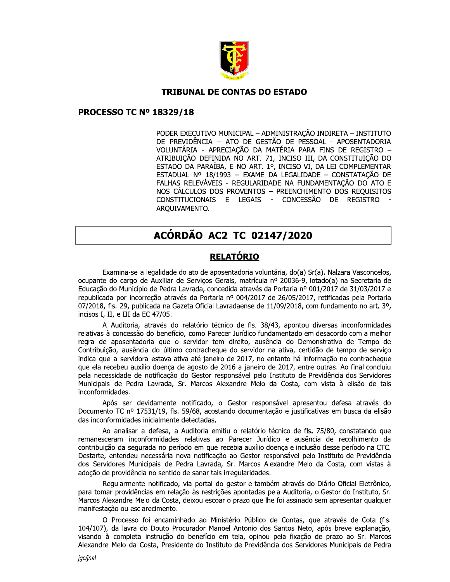

#### **TRIBUNAL DE CONTAS DO ESTADO**

#### **PROCESSO TC Nº 18329/18**

PODER EXECUTIVO MUNICIPAL - ADMINISTRAÇÃO INDIRETA - INSTITUTO DE PREVIDÊNCIA - ATO DE GESTÃO DE PESSOAL - APOSENTADORIA VOLUNTÁRIA - APRECIAÇÃO DA MATÉRIA PARA FINS DE REGISTRO -ATRIBUIÇÃO DEFINIDA NO ART. 71, INCISO III, DA CONSTITUIÇÃO DO ESTADO DA PARAÍBA, E NO ART. 1º, INCISO VI, DA LEI COMPLEMENTAR ESTADUAL Nº 18/1993 - EXAME DA LEGALIDADE - CONSTATAÇÃO DE FALHAS RELEVÁVEIS - REGULARIDADE NA FUNDAMENTAÇÃO DO ATO E NOS CÁLCULOS DOS PROVENTOS - PREENCHIMENTO DOS REQUISITOS CONSTITUCIONAIS E LEGAIS - CONCESSÃO DE REGISTRO ARQUIVAMENTO.

# ACÓRDÃO AC2 TC 02147/2020

# **RELATÓRIO**

Examina-se a legalidade do ato de aposentadoria voluntária, do(a) Sr(a). Nalzara Vasconcelos, ocupante do cargo de Auxiliar de Serviços Gerais, matrícula nº 20036-9, lotado(a) na Secretaria de Educação do Município de Pedra Lavrada, concedida através da Portaria nº 001/2017 de 31/03/2017 e republicada por incorreção através da Portaria nº 004/2017 de 26/05/2017, retificadas pela Portaria 07/2018, fls. 29, publicada na Gazeta Oficial Lavradaense de 11/09/2018, com fundamento no art. 3º, incisos I, II, e III da EC 47/05.

A Auditoria, através do relatório técnico de fls. 38/43, apontou diversas inconformidades relativas à concessão do benefício, como Parecer Jurídico fundamentado em desacordo com a melhor regra de aposentadoria que o servidor tem direito, ausência do Demonstrativo de Tempo de Contribuição, ausência do último contracheque do servidor na ativa, certidão de tempo de serviço indica que a servidora estava ativa até janeiro de 2017, no entanto há informação no contracheque que ela recebeu auxílio doenca de agosto de 2016 a janeiro de 2017, entre outras. Ao final concluiu pela necessidade de notificação do Gestor responsável pelo Instituto de Previdência dos Servidores Municipais de Pedra Lavrada, Sr. Marcos Alexandre Melo da Costa, com vista à elisão de tais inconformidades.

Após ser devidamente notificado, o Gestor responsável apresentou defesa através do Documento TC nº 17531/19, fls. 59/68, acostando documentação e justificativas em busca da elisão das inconformidades inicialmente detectadas.

Ao analisar a defesa, a Auditoria emitiu o relatório técnico de fls. 75/80, constatando que remanesceram inconformidades relativas ao Parecer Jurídico e ausência de recolhimento da contribuição da segurada no período em que recebia auxílio doença e inclusão desse período na CTC. Destarte, entendeu necessária nova notificação ao Gestor responsável pelo Instituto de Previdência dos Servidores Municipais de Pedra Lavrada, Sr. Marcos Alexandre Melo da Costa, com vistas à adoção de providência no sentido de sanar tais irregularidades.

Regularmente notificado, via portal do gestor e também através do Diário Oficial Eletrônico, para tomar providências em relação às restrições apontadas pela Auditoria, o Gestor do Instituto, Sr. Marcos Alexandre Melo da Costa, deixou escoar o prazo que lhe foi assinado sem apresentar qualquer manifestação ou esclarecimento.

O Processo foi encaminhado ao Ministério Público de Contas, que através de Cota (fls. 104/107), da lavra do Douto Procurador Manoel Antonio dos Santos Neto, após breve explanação, visando à completa instrução do benefício em tela, opinou pela fixação de prazo ao Sr. Marcos Alexandre Melo da Costa, Presidente do Instituto de Previdência dos Servidores Municipais de Pedra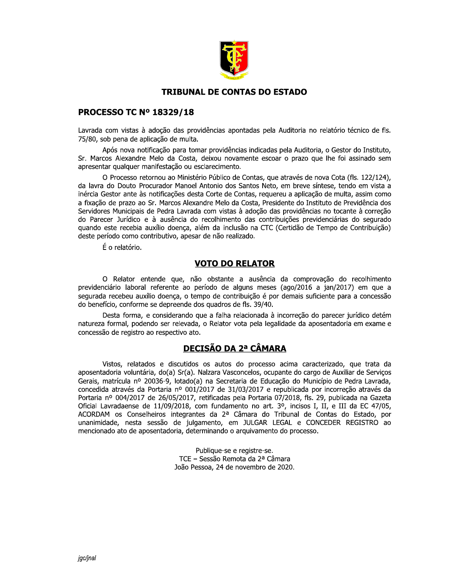

## **TRIBUNAL DE CONTAS DO ESTADO**

#### **PROCESSO TC Nº 18329/18**

Lavrada com vistas à adoção das providências apontadas pela Auditoria no relatório técnico de fls. 75/80, sob pena de aplicação de multa.

Após nova notificação para tomar providências indicadas pela Auditoria, o Gestor do Instituto, Sr. Marcos Alexandre Melo da Costa, deixou novamente escoar o prazo que lhe foi assinado sem apresentar qualquer manifestação ou esclarecimento.

O Processo retornou ao Ministério Público de Contas, que através de nova Cota (fls. 122/124), da lavra do Douto Procurador Manoel Antonio dos Santos Neto, em breve síntese, tendo em vista a inércia Gestor ante às notificações desta Corte de Contas, requereu a aplicação de multa, assim como a fixação de prazo ao Sr. Marcos Alexandre Melo da Costa, Presidente do Instituto de Previdência dos Servidores Municipais de Pedra Lavrada com vistas à adoção das providências no tocante à correção do Parecer Jurídico e à ausência do recolhimento das contribuições previdenciárias do segurado quando este recebia auxílio doenca, além da inclusão na CTC (Certidão de Tempo de Contribuição) deste período como contributivo, apesar de não realizado.

É o relatório.

### **VOTO DO RELATOR**

O Relator entende que, não obstante a ausência da comprovação do recolhimento previdenciário laboral referente ao período de alguns meses (ago/2016 a jan/2017) em que a segurada recebeu auxílio doenca, o tempo de contribuição é por demais suficiente para a concessão do benefício, conforme se depreende dos quadros de fls. 39/40.

Desta forma, e considerando que a falha relacionada à incorreção do parecer jurídico detém natureza formal, podendo ser relevada, o Relator vota pela legalidade da aposentadoria em exame e concessão de registro ao respectivo ato.

# **DECISÃO DA 2ª CÂMARA**

Vistos, relatados e discutidos os autos do processo acima caracterizado, que trata da aposentadoria voluntária, do(a) Sr(a). Nalzara Vasconcelos, ocupante do cargo de Auxiliar de Serviços Gerais, matrícula nº 20036-9, lotado(a) na Secretaria de Educação do Município de Pedra Lavrada, concedida através da Portaria nº 001/2017 de 31/03/2017 e republicada por incorreção através da Portaria nº 004/2017 de 26/05/2017, retificadas pela Portaria 07/2018, fls. 29, publicada na Gazeta Oficial Lavradaense de 11/09/2018, com fundamento no art. 3º, incisos I, II, e III da EC 47/05, ACORDAM os Conselheiros integrantes da 2ª Câmara do Tribunal de Contas do Estado, por unanimidade, nesta sessão de julgamento, em JULGAR LEGAL e CONCEDER REGISTRO ao mencionado ato de aposentadoria, determinando o arquivamento do processo.

> Publique-se e registre-se. TCE - Sessão Remota da 2ª Câmara João Pessoa, 24 de novembro de 2020.